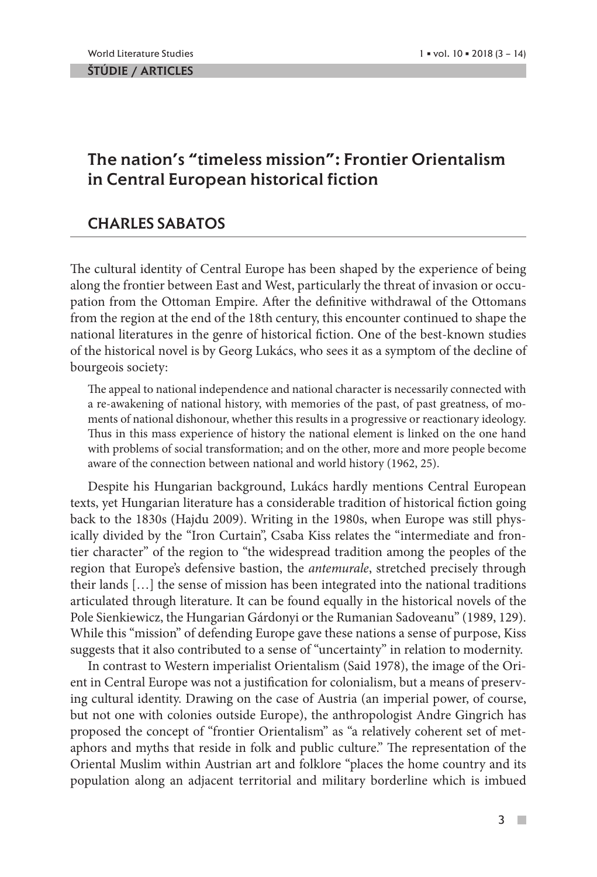## The nation's "timeless mission": Frontier Orientalism in Central European historical fiction

## CHARLES SABATOS

The cultural identity of Central Europe has been shaped by the experience of being along the frontier between East and West, particularly the threat of invasion or occupation from the Ottoman Empire. After the definitive withdrawal of the Ottomans from the region at the end of the 18th century, this encounter continued to shape the national literatures in the genre of historical fiction. One of the best-known studies of the historical novel is by Georg Lukács, who sees it as a symptom of the decline of bourgeois society:

The appeal to national independence and national character is necessarily connected with a re-awakening of national history, with memories of the past, of past greatness, of moments of national dishonour, whether this results in a progressive or reactionary ideology. Thus in this mass experience of history the national element is linked on the one hand with problems of social transformation; and on the other, more and more people become aware of the connection between national and world history (1962, 25).

Despite his Hungarian background, Lukács hardly mentions Central European texts, yet Hungarian literature has a considerable tradition of historical fiction going back to the 1830s (Hajdu 2009). Writing in the 1980s, when Europe was still physically divided by the "Iron Curtain", Csaba Kiss relates the "intermediate and frontier character" of the region to "the widespread tradition among the peoples of the region that Europe's defensive bastion, the *antemurale*, stretched precisely through their lands […] the sense of mission has been integrated into the national traditions articulated through literature. It can be found equally in the historical novels of the Pole Sienkiewicz, the Hungarian Gárdonyi or the Rumanian Sadoveanu" (1989, 129). While this "mission" of defending Europe gave these nations a sense of purpose, Kiss suggests that it also contributed to a sense of "uncertainty" in relation to modernity.

In contrast to Western imperialist Orientalism (Said 1978), the image of the Orient in Central Europe was not a justification for colonialism, but a means of preserving cultural identity. Drawing on the case of Austria (an imperial power, of course, but not one with colonies outside Europe), the anthropologist Andre Gingrich has proposed the concept of "frontier Orientalism" as "a relatively coherent set of metaphors and myths that reside in folk and public culture." The representation of the Oriental Muslim within Austrian art and folklore "places the home country and its population along an adjacent territorial and military borderline which is imbued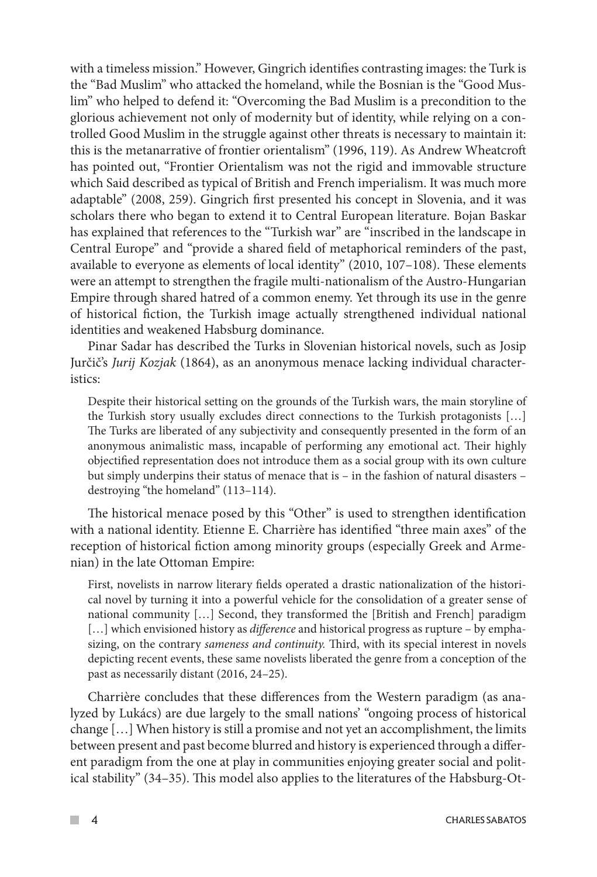with a timeless mission." However, Gingrich identifies contrasting images: the Turk is the "Bad Muslim" who attacked the homeland, while the Bosnian is the "Good Muslim" who helped to defend it: "Overcoming the Bad Muslim is a precondition to the glorious achievement not only of modernity but of identity, while relying on a controlled Good Muslim in the struggle against other threats is necessary to maintain it: this is the metanarrative of frontier orientalism" (1996, 119). As Andrew Wheatcroft has pointed out, "Frontier Orientalism was not the rigid and immovable structure which Said described as typical of British and French imperialism. It was much more adaptable" (2008, 259). Gingrich first presented his concept in Slovenia, and it was scholars there who began to extend it to Central European literature. Bojan Baskar has explained that references to the "Turkish war" are "inscribed in the landscape in Central Europe" and "provide a shared field of metaphorical reminders of the past, available to everyone as elements of local identity" (2010, 107–108). These elements were an attempt to strengthen the fragile multi-nationalism of the Austro-Hungarian Empire through shared hatred of a common enemy. Yet through its use in the genre of historical fiction, the Turkish image actually strengthened individual national identities and weakened Habsburg dominance.

Pinar Sadar has described the Turks in Slovenian historical novels, such as Josip Jurčič's *Jurij Kozjak* (1864), as an anonymous menace lacking individual characteristics:

Despite their historical setting on the grounds of the Turkish wars, the main storyline of the Turkish story usually excludes direct connections to the Turkish protagonists […] The Turks are liberated of any subjectivity and consequently presented in the form of an anonymous animalistic mass, incapable of performing any emotional act. Their highly objectified representation does not introduce them as a social group with its own culture but simply underpins their status of menace that is – in the fashion of natural disasters – destroying "the homeland" (113–114).

The historical menace posed by this "Other" is used to strengthen identification with a national identity. Etienne E. Charrière has identified "three main axes" of the reception of historical fiction among minority groups (especially Greek and Armenian) in the late Ottoman Empire:

First, novelists in narrow literary fields operated a drastic nationalization of the historical novel by turning it into a powerful vehicle for the consolidation of a greater sense of national community […] Second, they transformed the [British and French] paradigm […] which envisioned history as *difference* and historical progress as rupture – by emphasizing, on the contrary *sameness and continuity.* Third, with its special interest in novels depicting recent events, these same novelists liberated the genre from a conception of the past as necessarily distant (2016, 24–25).

Charrière concludes that these differences from the Western paradigm (as analyzed by Lukács) are due largely to the small nations' "ongoing process of historical change […] When history is still a promise and not yet an accomplishment, the limits between present and past become blurred and history is experienced through a different paradigm from the one at play in communities enjoying greater social and political stability" (34–35). This model also applies to the literatures of the Habsburg-Ot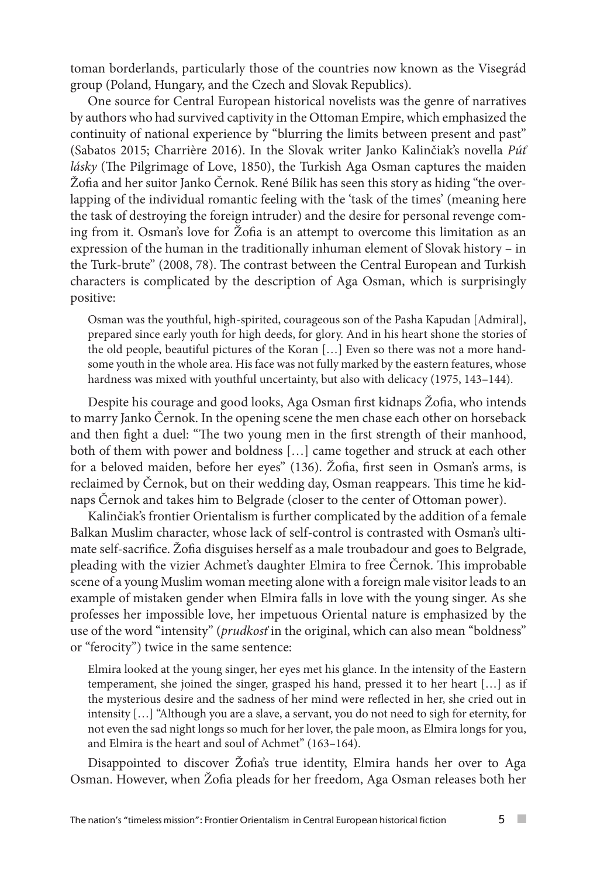toman borderlands, particularly those of the countries now known as the Visegrád group (Poland, Hungary, and the Czech and Slovak Republics).

One source for Central European historical novelists was the genre of narratives by authors who had survived captivity in the Ottoman Empire, which emphasized the continuity of national experience by "blurring the limits between present and past" (Sabatos 2015; Charrière 2016). In the Slovak writer Janko Kalinčiak's novella *Púť lásky* (The Pilgrimage of Love, 1850), the Turkish Aga Osman captures the maiden Žofia and her suitor Janko Černok. René Bílik has seen this story as hiding "the overlapping of the individual romantic feeling with the 'task of the times' (meaning here the task of destroying the foreign intruder) and the desire for personal revenge coming from it. Osman's love for Žofia is an attempt to overcome this limitation as an expression of the human in the traditionally inhuman element of Slovak history – in the Turk-brute" (2008, 78). The contrast between the Central European and Turkish characters is complicated by the description of Aga Osman, which is surprisingly positive:

Osman was the youthful, high-spirited, courageous son of the Pasha Kapudan [Admiral], prepared since early youth for high deeds, for glory. And in his heart shone the stories of the old people, beautiful pictures of the Koran […] Even so there was not a more handsome youth in the whole area. His face was not fully marked by the eastern features, whose hardness was mixed with youthful uncertainty, but also with delicacy (1975, 143-144).

Despite his courage and good looks, Aga Osman first kidnaps Žofia, who intends to marry Janko Černok. In the opening scene the men chase each other on horseback and then fight a duel: "The two young men in the first strength of their manhood, both of them with power and boldness […] came together and struck at each other for a beloved maiden, before her eyes" (136). Žofia, first seen in Osman's arms, is reclaimed by Černok, but on their wedding day, Osman reappears. This time he kidnaps Černok and takes him to Belgrade (closer to the center of Ottoman power).

Kalinčiak's frontier Orientalism is further complicated by the addition of a female Balkan Muslim character, whose lack of self-control is contrasted with Osman's ultimate self-sacrifice. Žofia disguises herself as a male troubadour and goes to Belgrade, pleading with the vizier Achmet's daughter Elmira to free Černok. This improbable scene of a young Muslim woman meeting alone with a foreign male visitor leads to an example of mistaken gender when Elmira falls in love with the young singer. As she professes her impossible love, her impetuous Oriental nature is emphasized by the use of the word "intensity" (*prudkosť* in the original, which can also mean "boldness" or "ferocity") twice in the same sentence:

Elmira looked at the young singer, her eyes met his glance. In the intensity of the Eastern temperament, she joined the singer, grasped his hand, pressed it to her heart […] as if the mysterious desire and the sadness of her mind were reflected in her, she cried out in intensity […] "Although you are a slave, a servant, you do not need to sigh for eternity, for not even the sad night longs so much for her lover, the pale moon, as Elmira longs for you, and Elmira is the heart and soul of Achmet" (163–164).

Disappointed to discover Žofia's true identity, Elmira hands her over to Aga Osman. However, when Žofia pleads for her freedom, Aga Osman releases both her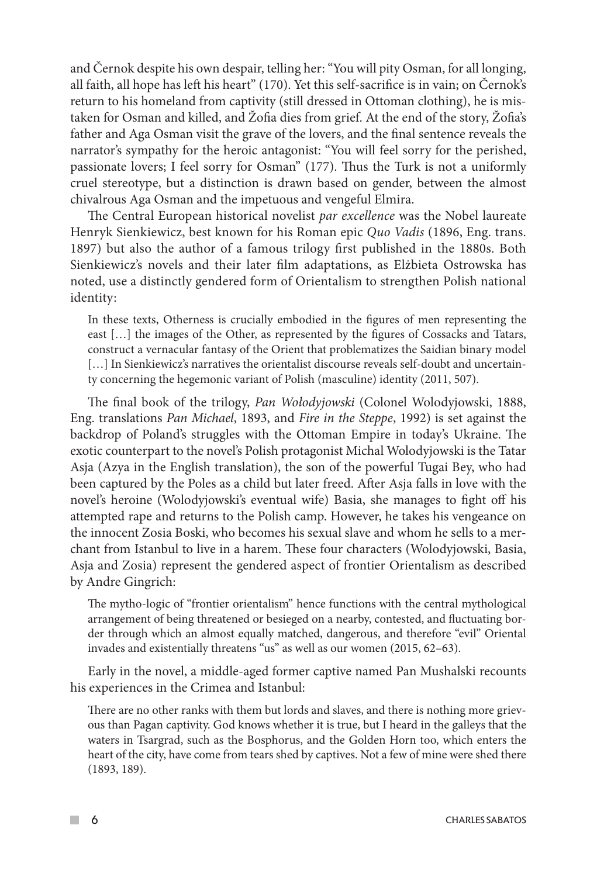and Černok despite his own despair, telling her: "You will pity Osman, for all longing, all faith, all hope has left his heart" (170). Yet this self-sacrifice is in vain; on Černok's return to his homeland from captivity (still dressed in Ottoman clothing), he is mistaken for Osman and killed, and Žofia dies from grief. At the end of the story, Žofia's father and Aga Osman visit the grave of the lovers, and the final sentence reveals the narrator's sympathy for the heroic antagonist: "You will feel sorry for the perished, passionate lovers; I feel sorry for Osman" (177). Thus the Turk is not a uniformly cruel stereotype, but a distinction is drawn based on gender, between the almost chivalrous Aga Osman and the impetuous and vengeful Elmira.

The Central European historical novelist *par excellence* was the Nobel laureate Henryk Sienkiewicz, best known for his Roman epic *Quo Vadis* (1896, Eng. trans. 1897) but also the author of a famous trilogy first published in the 1880s. Both Sienkiewicz's novels and their later film adaptations, as Elżbieta Ostrowska has noted, use a distinctly gendered form of Orientalism to strengthen Polish national identity:

In these texts, Otherness is crucially embodied in the figures of men representing the east […] the images of the Other, as represented by the figures of Cossacks and Tatars, construct a vernacular fantasy of the Orient that problematizes the Saidian binary model [...] In Sienkiewicz's narratives the orientalist discourse reveals self-doubt and uncertainty concerning the hegemonic variant of Polish (masculine) identity (2011, 507).

The final book of the trilogy, *Pan Wołodyjowski* (Colonel Wolodyjowski, 1888, Eng. translations *Pan Michael*, 1893, and *Fire in the Steppe*, 1992) is set against the backdrop of Poland's struggles with the Ottoman Empire in today's Ukraine. The exotic counterpart to the novel's Polish protagonist Michal Wolodyjowski is the Tatar Asja (Azya in the English translation), the son of the powerful Tugai Bey, who had been captured by the Poles as a child but later freed. After Asja falls in love with the novel's heroine (Wolodyjowski's eventual wife) Basia, she manages to fight off his attempted rape and returns to the Polish camp. However, he takes his vengeance on the innocent Zosia Boski, who becomes his sexual slave and whom he sells to a merchant from Istanbul to live in a harem. These four characters (Wolodyjowski, Basia, Asja and Zosia) represent the gendered aspect of frontier Orientalism as described by Andre Gingrich:

The mytho-logic of "frontier orientalism" hence functions with the central mythological arrangement of being threatened or besieged on a nearby, contested, and fluctuating border through which an almost equally matched, dangerous, and therefore "evil" Oriental invades and existentially threatens "us" as well as our women (2015, 62–63).

Early in the novel, a middle-aged former captive named Pan Mushalski recounts his experiences in the Crimea and Istanbul:

There are no other ranks with them but lords and slaves, and there is nothing more grievous than Pagan captivity. God knows whether it is true, but I heard in the galleys that the waters in Tsargrad, such as the Bosphorus, and the Golden Horn too, which enters the heart of the city, have come from tears shed by captives. Not a few of mine were shed there (1893, 189).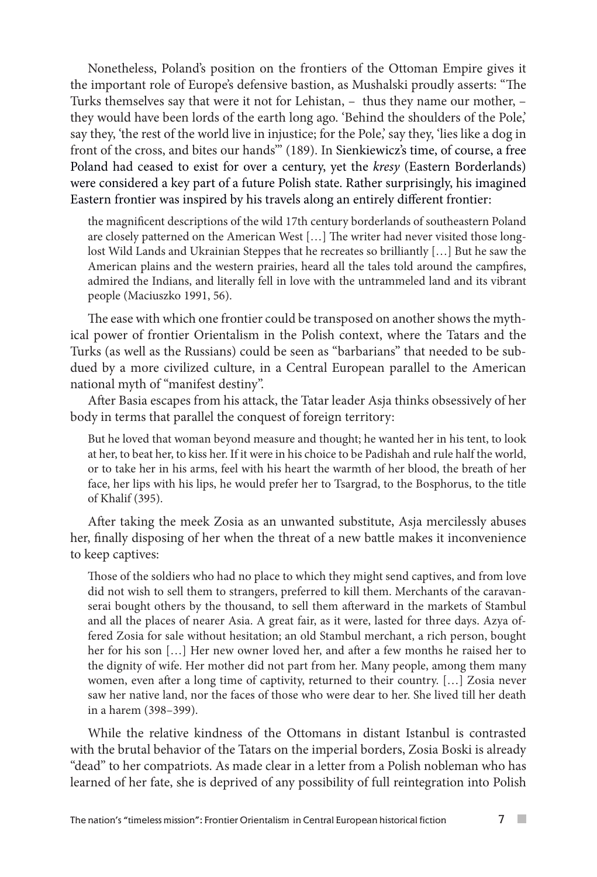Nonetheless, Poland's position on the frontiers of the Ottoman Empire gives it the important role of Europe's defensive bastion, as Mushalski proudly asserts: "The Turks themselves say that were it not for Lehistan, – thus they name our mother, – they would have been lords of the earth long ago. 'Behind the shoulders of the Pole,' say they, 'the rest of the world live in injustice; for the Pole,' say they, 'lies like a dog in front of the cross, and bites our hands'" (189). In Sienkiewicz's time, of course, a free Poland had ceased to exist for over a century, yet the *kresy* (Eastern Borderlands) were considered a key part of a future Polish state. Rather surprisingly, his imagined Eastern frontier was inspired by his travels along an entirely different frontier:

the magnificent descriptions of the wild 17th century borderlands of southeastern Poland are closely patterned on the American West […] The writer had never visited those longlost Wild Lands and Ukrainian Steppes that he recreates so brilliantly […] But he saw the American plains and the western prairies, heard all the tales told around the campfires, admired the Indians, and literally fell in love with the untrammeled land and its vibrant people (Maciuszko 1991, 56).

The ease with which one frontier could be transposed on another shows the mythical power of frontier Orientalism in the Polish context, where the Tatars and the Turks (as well as the Russians) could be seen as "barbarians" that needed to be subdued by a more civilized culture, in a Central European parallel to the American national myth of "manifest destiny".

After Basia escapes from his attack, the Tatar leader Asja thinks obsessively of her body in terms that parallel the conquest of foreign territory:

But he loved that woman beyond measure and thought; he wanted her in his tent, to look at her, to beat her, to kiss her. If it were in his choice to be Padishah and rule half the world, or to take her in his arms, feel with his heart the warmth of her blood, the breath of her face, her lips with his lips, he would prefer her to Tsargrad, to the Bosphorus, to the title of Khalif (395).

After taking the meek Zosia as an unwanted substitute, Asja mercilessly abuses her, finally disposing of her when the threat of a new battle makes it inconvenience to keep captives:

Those of the soldiers who had no place to which they might send captives, and from love did not wish to sell them to strangers, preferred to kill them. Merchants of the caravanserai bought others by the thousand, to sell them afterward in the markets of Stambul and all the places of nearer Asia. A great fair, as it were, lasted for three days. Azya offered Zosia for sale without hesitation; an old Stambul merchant, a rich person, bought her for his son […] Her new owner loved her, and after a few months he raised her to the dignity of wife. Her mother did not part from her. Many people, among them many women, even after a long time of captivity, returned to their country. […] Zosia never saw her native land, nor the faces of those who were dear to her. She lived till her death in a harem (398–399).

While the relative kindness of the Ottomans in distant Istanbul is contrasted with the brutal behavior of the Tatars on the imperial borders, Zosia Boski is already "dead" to her compatriots. As made clear in a letter from a Polish nobleman who has learned of her fate, she is deprived of any possibility of full reintegration into Polish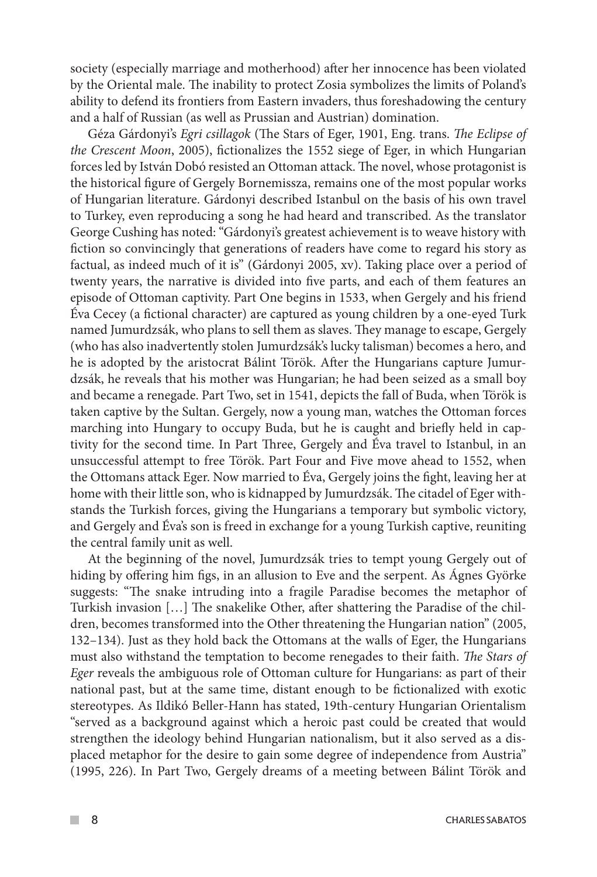society (especially marriage and motherhood) after her innocence has been violated by the Oriental male. The inability to protect Zosia symbolizes the limits of Poland's ability to defend its frontiers from Eastern invaders, thus foreshadowing the century and a half of Russian (as well as Prussian and Austrian) domination.

Géza Gárdonyi's *Egri csillagok* (The Stars of Eger, 1901, Eng. trans. *The Eclipse of the Crescent Moon*, 2005), fictionalizes the 1552 siege of Eger, in which Hungarian forces led by István Dobó resisted an Ottoman attack. The novel, whose protagonist is the historical figure of Gergely Bornemissza, remains one of the most popular works of Hungarian literature. Gárdonyi described Istanbul on the basis of his own travel to Turkey, even reproducing a song he had heard and transcribed. As the translator George Cushing has noted: "Gárdonyi's greatest achievement is to weave history with fiction so convincingly that generations of readers have come to regard his story as factual, as indeed much of it is" (Gárdonyi 2005, xv). Taking place over a period of twenty years, the narrative is divided into five parts, and each of them features an episode of Ottoman captivity. Part One begins in 1533, when Gergely and his friend Éva Cecey (a fictional character) are captured as young children by a one-eyed Turk named Jumurdzsák, who plans to sell them as slaves. They manage to escape, Gergely (who has also inadvertently stolen Jumurdzsák's lucky talisman) becomes a hero, and he is adopted by the aristocrat Bálint Török. After the Hungarians capture Jumurdzsák, he reveals that his mother was Hungarian; he had been seized as a small boy and became a renegade. Part Two, set in 1541, depicts the fall of Buda, when Török is taken captive by the Sultan. Gergely, now a young man, watches the Ottoman forces marching into Hungary to occupy Buda, but he is caught and briefly held in captivity for the second time. In Part Three, Gergely and Éva travel to Istanbul, in an unsuccessful attempt to free Török. Part Four and Five move ahead to 1552, when the Ottomans attack Eger. Now married to Éva, Gergely joins the fight, leaving her at home with their little son, who is kidnapped by Jumurdzsák. The citadel of Eger withstands the Turkish forces, giving the Hungarians a temporary but symbolic victory, and Gergely and Éva's son is freed in exchange for a young Turkish captive, reuniting the central family unit as well.

At the beginning of the novel, Jumurdzsák tries to tempt young Gergely out of hiding by offering him figs, in an allusion to Eve and the serpent. As Ágnes Györke suggests: "The snake intruding into a fragile Paradise becomes the metaphor of Turkish invasion […] The snakelike Other, after shattering the Paradise of the children, becomes transformed into the Other threatening the Hungarian nation" (2005, 132–134). Just as they hold back the Ottomans at the walls of Eger, the Hungarians must also withstand the temptation to become renegades to their faith. *The Stars of Eger* reveals the ambiguous role of Ottoman culture for Hungarians: as part of their national past, but at the same time, distant enough to be fictionalized with exotic stereotypes. As Ildikó Beller-Hann has stated, 19th-century Hungarian Orientalism "served as a background against which a heroic past could be created that would strengthen the ideology behind Hungarian nationalism, but it also served as a displaced metaphor for the desire to gain some degree of independence from Austria" (1995, 226). In Part Two, Gergely dreams of a meeting between Bálint Török and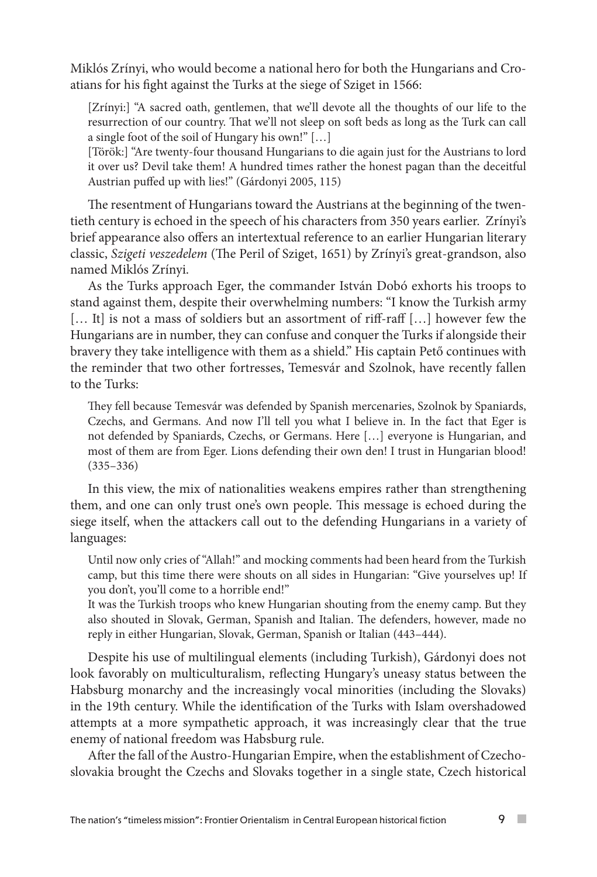Miklós Zrínyi, who would become a national hero for both the Hungarians and Croatians for his fight against the Turks at the siege of Sziget in 1566:

[Zrínyi:] "A sacred oath, gentlemen, that we'll devote all the thoughts of our life to the resurrection of our country. That we'll not sleep on soft beds as long as the Turk can call a single foot of the soil of Hungary his own!" […]

[Török:] "Are twenty-four thousand Hungarians to die again just for the Austrians to lord it over us? Devil take them! A hundred times rather the honest pagan than the deceitful Austrian puffed up with lies!" (Gárdonyi 2005, 115)

The resentment of Hungarians toward the Austrians at the beginning of the twentieth century is echoed in the speech of his characters from 350 years earlier. Zrínyi's brief appearance also offers an intertextual reference to an earlier Hungarian literary classic, *Szigeti veszedelem* (The Peril of Sziget, 1651) by Zrínyi's great-grandson, also named Miklós Zrínyi.

As the Turks approach Eger, the commander István Dobó exhorts his troops to stand against them, despite their overwhelming numbers: "I know the Turkish army [... It] is not a mass of soldiers but an assortment of riff-raff [...] however few the Hungarians are in number, they can confuse and conquer the Turks if alongside their bravery they take intelligence with them as a shield." His captain Pető continues with the reminder that two other fortresses, Temesvár and Szolnok, have recently fallen to the Turks:

They fell because Temesvár was defended by Spanish mercenaries, Szolnok by Spaniards, Czechs, and Germans. And now I'll tell you what I believe in. In the fact that Eger is not defended by Spaniards, Czechs, or Germans. Here […] everyone is Hungarian, and most of them are from Eger. Lions defending their own den! I trust in Hungarian blood! (335–336)

In this view, the mix of nationalities weakens empires rather than strengthening them, and one can only trust one's own people. This message is echoed during the siege itself, when the attackers call out to the defending Hungarians in a variety of languages:

Until now only cries of "Allah!" and mocking comments had been heard from the Turkish camp, but this time there were shouts on all sides in Hungarian: "Give yourselves up! If you don't, you'll come to a horrible end!"

It was the Turkish troops who knew Hungarian shouting from the enemy camp. But they also shouted in Slovak, German, Spanish and Italian. The defenders, however, made no reply in either Hungarian, Slovak, German, Spanish or Italian (443–444).

Despite his use of multilingual elements (including Turkish), Gárdonyi does not look favorably on multiculturalism, reflecting Hungary's uneasy status between the Habsburg monarchy and the increasingly vocal minorities (including the Slovaks) in the 19th century. While the identification of the Turks with Islam overshadowed attempts at a more sympathetic approach, it was increasingly clear that the true enemy of national freedom was Habsburg rule.

After the fall of the Austro-Hungarian Empire, when the establishment of Czechoslovakia brought the Czechs and Slovaks together in a single state, Czech historical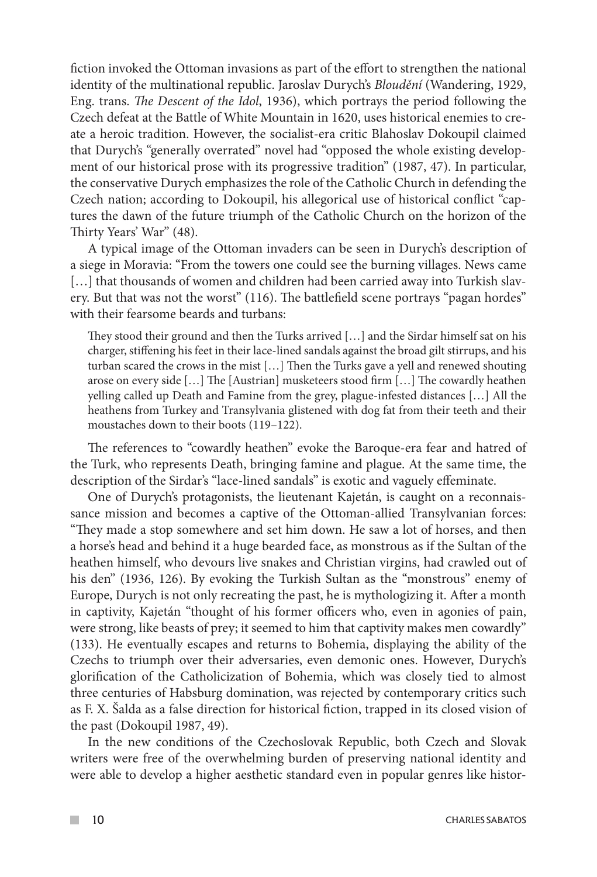fiction invoked the Ottoman invasions as part of the effort to strengthen the national identity of the multinational republic. Jaroslav Durych's *Bloudění* (Wandering, 1929, Eng. trans. *The Descent of the Idol*, 1936), which portrays the period following the Czech defeat at the Battle of White Mountain in 1620, uses historical enemies to create a heroic tradition. However, the socialist-era critic Blahoslav Dokoupil claimed that Durych's "generally overrated" novel had "opposed the whole existing development of our historical prose with its progressive tradition" (1987, 47). In particular, the conservative Durych emphasizes the role of the Catholic Church in defending the Czech nation; according to Dokoupil, his allegorical use of historical conflict "captures the dawn of the future triumph of the Catholic Church on the horizon of the Thirty Years' War" (48).

A typical image of the Ottoman invaders can be seen in Durych's description of a siege in Moravia: "From the towers one could see the burning villages. News came [...] that thousands of women and children had been carried away into Turkish slavery. But that was not the worst" (116). The battlefield scene portrays "pagan hordes" with their fearsome beards and turbans:

They stood their ground and then the Turks arrived […] and the Sirdar himself sat on his charger, stiffening his feet in their lace-lined sandals against the broad gilt stirrups, and his turban scared the crows in the mist […] Then the Turks gave a yell and renewed shouting arose on every side […] The [Austrian] musketeers stood firm […] The cowardly heathen yelling called up Death and Famine from the grey, plague-infested distances […] All the heathens from Turkey and Transylvania glistened with dog fat from their teeth and their moustaches down to their boots (119–122).

The references to "cowardly heathen" evoke the Baroque-era fear and hatred of the Turk, who represents Death, bringing famine and plague. At the same time, the description of the Sirdar's "lace-lined sandals" is exotic and vaguely effeminate.

One of Durych's protagonists, the lieutenant Kajetán, is caught on a reconnaissance mission and becomes a captive of the Ottoman-allied Transylvanian forces: "They made a stop somewhere and set him down. He saw a lot of horses, and then a horse's head and behind it a huge bearded face, as monstrous as if the Sultan of the heathen himself, who devours live snakes and Christian virgins, had crawled out of his den" (1936, 126). By evoking the Turkish Sultan as the "monstrous" enemy of Europe, Durych is not only recreating the past, he is mythologizing it. After a month in captivity, Kajetán "thought of his former officers who, even in agonies of pain, were strong, like beasts of prey; it seemed to him that captivity makes men cowardly" (133). He eventually escapes and returns to Bohemia, displaying the ability of the Czechs to triumph over their adversaries, even demonic ones. However, Durych's glorification of the Catholicization of Bohemia, which was closely tied to almost three centuries of Habsburg domination, was rejected by contemporary critics such as F. X. Šalda as a false direction for historical fiction, trapped in its closed vision of the past (Dokoupil 1987, 49).

In the new conditions of the Czechoslovak Republic, both Czech and Slovak writers were free of the overwhelming burden of preserving national identity and were able to develop a higher aesthetic standard even in popular genres like histor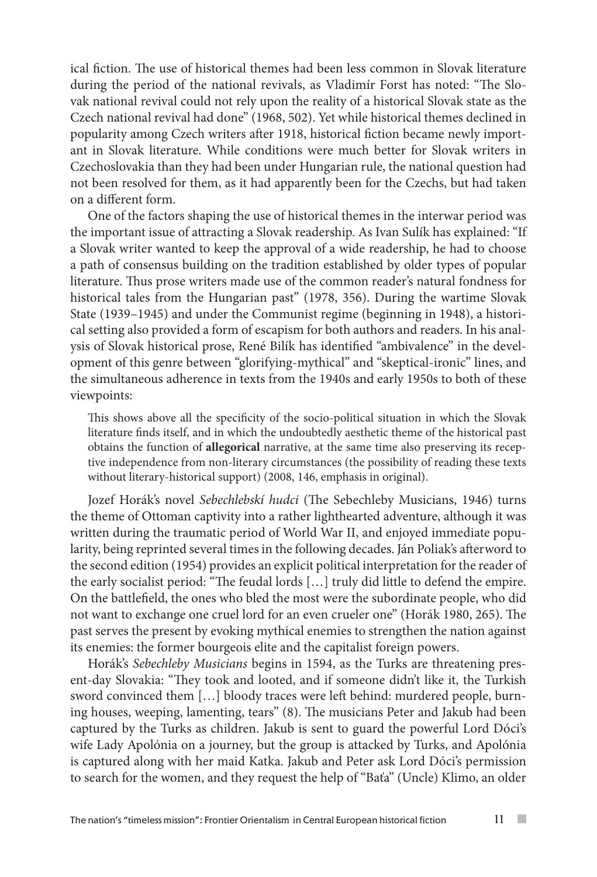ical fiction. The use of historical themes had been less common in Slovak literature during the period of the national revivals, as Vladimír Forst has noted: "The Slovak national revival could not rely upon the reality of a historical Slovak state as the Czech national revival had done" (1968, 502). Yet while historical themes declined in popularity among Czech writers after 1918, historical fiction became newly important in Slovak literature. While conditions were much better for Slovak writers in Czechoslovakia than they had been under Hungarian rule, the national question had not been resolved for them, as it had apparently been for the Czechs, but had taken on a different form.

One of the factors shaping the use of historical themes in the interwar period was the important issue of attracting a Slovak readership. As Ivan Sulík has explained: "If a Slovak writer wanted to keep the approval of a wide readership, he had to choose a path of consensus building on the tradition established by older types of popular literature. Thus prose writers made use of the common reader's natural fondness for historical tales from the Hungarian past" (1978, 356). During the wartime Slovak State (1939–1945) and under the Communist regime (beginning in 1948), a historical setting also provided a form of escapism for both authors and readers. In his analysis of Slovak historical prose, René Bilík has identified "ambivalence" in the development of this genre between "glorifying-mythical" and "skeptical-ironic" lines, and the simultaneous adherence in texts from the 1940s and early 1950s to both of these viewpoints:

This shows above all the specificity of the socio-political situation in which the Slovak literature finds itself, and in which the undoubtedly aesthetic theme of the historical past obtains the function of **allegorical** narrative, at the same time also preserving its receptive independence from non-literary circumstances (the possibility of reading these texts without literary-historical support) (2008, 146, emphasis in original).

Jozef Horák's novel *Sebechlebskí hudci* (The Sebechleby Musicians, 1946) turns the theme of Ottoman captivity into a rather lighthearted adventure, although it was written during the traumatic period of World War II, and enjoyed immediate popularity, being reprinted several times in the following decades. Ján Poliak's afterword to the second edition (1954) provides an explicit political interpretation for the reader of the early socialist period: "The feudal lords […] truly did little to defend the empire. On the battlefield, the ones who bled the most were the subordinate people, who did not want to exchange one cruel lord for an even crueler one" (Horák 1980, 265). The past serves the present by evoking mythical enemies to strengthen the nation against its enemies: the former bourgeois elite and the capitalist foreign powers.

Horák's *Sebechleby Musicians* begins in 1594, as the Turks are threatening present-day Slovakia: "They took and looted, and if someone didn't like it, the Turkish sword convinced them […] bloody traces were left behind: murdered people, burning houses, weeping, lamenting, tears" (8). The musicians Peter and Jakub had been captured by the Turks as children. Jakub is sent to guard the powerful Lord Dóci's wife Lady Apolónia on a journey, but the group is attacked by Turks, and Apolónia is captured along with her maid Katka. Jakub and Peter ask Lord Dóci's permission to search for the women, and they request the help of "Baťa" (Uncle) Klimo, an older

**COL**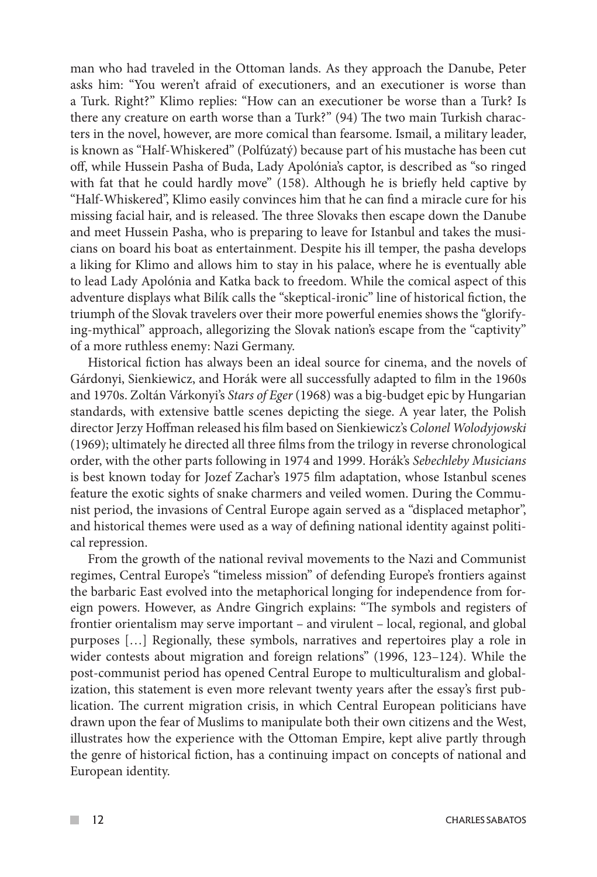man who had traveled in the Ottoman lands. As they approach the Danube, Peter asks him: "You weren't afraid of executioners, and an executioner is worse than a Turk. Right?" Klimo replies: "How can an executioner be worse than a Turk? Is there any creature on earth worse than a Turk?" (94) The two main Turkish characters in the novel, however, are more comical than fearsome. Ismail, a military leader, is known as "Half-Whiskered" (Polfúzatý) because part of his mustache has been cut off, while Hussein Pasha of Buda, Lady Apolónia's captor, is described as "so ringed with fat that he could hardly move" (158). Although he is briefly held captive by "Half-Whiskered", Klimo easily convinces him that he can find a miracle cure for his missing facial hair, and is released. The three Slovaks then escape down the Danube and meet Hussein Pasha, who is preparing to leave for Istanbul and takes the musicians on board his boat as entertainment. Despite his ill temper, the pasha develops a liking for Klimo and allows him to stay in his palace, where he is eventually able to lead Lady Apolónia and Katka back to freedom. While the comical aspect of this adventure displays what Bilík calls the "skeptical-ironic" line of historical fiction, the triumph of the Slovak travelers over their more powerful enemies shows the "glorifying-mythical" approach, allegorizing the Slovak nation's escape from the "captivity" of a more ruthless enemy: Nazi Germany.

Historical fiction has always been an ideal source for cinema, and the novels of Gárdonyi, Sienkiewicz, and Horák were all successfully adapted to film in the 1960s and 1970s. Zoltán Várkonyi's *Stars of Eger* (1968) was a big-budget epic by Hungarian standards, with extensive battle scenes depicting the siege. A year later, the Polish director Jerzy Hoffman released his film based on Sienkiewicz's *Colonel Wolodyjowski*  (1969); ultimately he directed all three films from the trilogy in reverse chronological order, with the other parts following in 1974 and 1999. Horák's *Sebechleby Musicians*  is best known today for Jozef Zachar's 1975 film adaptation, whose Istanbul scenes feature the exotic sights of snake charmers and veiled women. During the Communist period, the invasions of Central Europe again served as a "displaced metaphor", and historical themes were used as a way of defining national identity against political repression.

From the growth of the national revival movements to the Nazi and Communist regimes, Central Europe's "timeless mission" of defending Europe's frontiers against the barbaric East evolved into the metaphorical longing for independence from foreign powers. However, as Andre Gingrich explains: "The symbols and registers of frontier orientalism may serve important – and virulent – local, regional, and global purposes […] Regionally, these symbols, narratives and repertoires play a role in wider contests about migration and foreign relations" (1996, 123–124). While the post-communist period has opened Central Europe to multiculturalism and globalization, this statement is even more relevant twenty years after the essay's first publication. The current migration crisis, in which Central European politicians have drawn upon the fear of Muslims to manipulate both their own citizens and the West, illustrates how the experience with the Ottoman Empire, kept alive partly through the genre of historical fiction, has a continuing impact on concepts of national and European identity.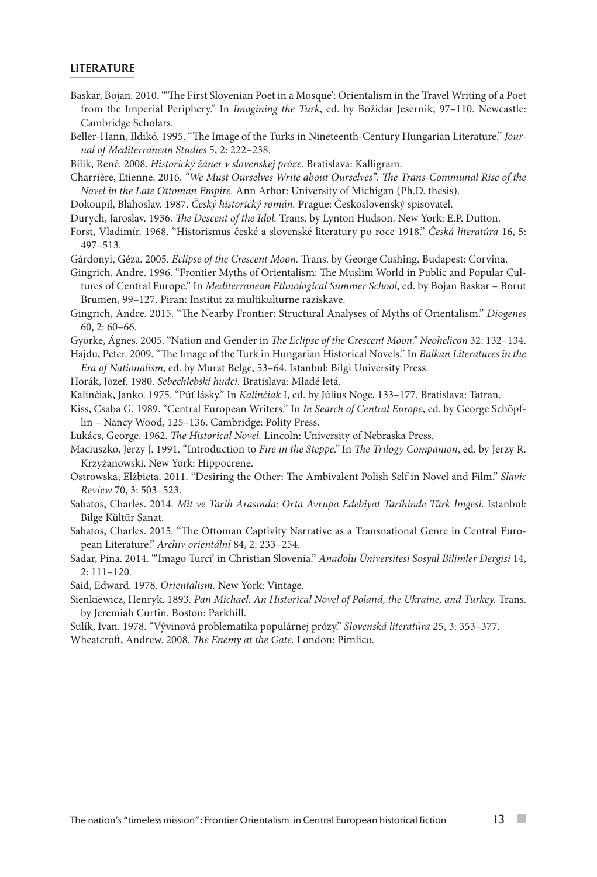## LITERATURE

- Baskar, Bojan. 2010. "'The First Slovenian Poet in a Mosque': Orientalism in the Travel Writing of a Poet from the Imperial Periphery." In *Imagining the Turk*, ed. by Božidar Jesernik, 97–110. Newcastle: Cambridge Scholars.
- Beller-Hann, Ildikó. 1995. "The Image of the Turks in Nineteenth-Century Hungarian Literature." *Journal of Mediterranean Studies* 5, 2: 222–238.

Bílik, René. 2008. *Historický žáner v slovenskej próze*. Bratislava: Kalligram.

- Charrière, Etienne. 2016. *"We Must Ourselves Write about Ourselves": The Trans-Communal Rise of the Novel in the Late Ottoman Empire.* Ann Arbor: University of Michigan (Ph.D. thesis).
- Dokoupil, Blahoslav. 1987. *Český historický román.* Prague: Československý spisovatel.
- Durych, Jaroslav. 1936. *The Descent of the Idol.* Trans. by Lynton Hudson. New York: E.P. Dutton.
- Forst, Vladimír. 1968. "Historismus české a slovenské literatury po roce 1918." *Česká literatúra* 16, 5: 497–513.
- Gárdonyi, Géza. 2005. *Eclipse of the Crescent Moon.* Trans. by George Cushing. Budapest: Corvina.
- Gingrich, Andre. 1996. "Frontier Myths of Orientalism: The Muslim World in Public and Popular Cultures of Central Europe." In *Mediterranean Ethnological Summer School*, ed. by Bojan Baskar – Borut Brumen, 99–127. Piran: Institut za multikulturne raziskave.
- Gingrich, Andre. 2015. "The Nearby Frontier: Structural Analyses of Myths of Orientalism." *Diogenes*  60, 2: 60–66.
- Györke, Ágnes. 2005. "Nation and Gender in *The Eclipse of the Crescent Moon." Neohelicon* 32: 132–134.
- Hajdu, Peter. 2009. "The Image of the Turk in Hungarian Historical Novels." In *Balkan Literatures in the Era of Nationalism*, ed. by Murat Belge, 53–64. Istanbul: Bilgi University Press.
- Horák, Jozef. 1980. *Sebechlebskí hudci.* Bratislava: Mladé letá.
- Kalinčiak, Janko. 1975. "Púť lásky." In *Kalinčiak* I, ed. by Július Noge, 133–177. Bratislava: Tatran.
- Kiss, Csaba G. 1989. "Central European Writers." In *In Search of Central Europe*, ed. by George Schöpflin – Nancy Wood, 125–136. Cambridge: Polity Press.
- Lukács, George. 1962. *The Historical Novel.* Lincoln: University of Nebraska Press.
- Maciuszko, Jerzy J. 1991. "Introduction to *Fire in the Steppe."* In *The Trilogy Companion*, ed. by Jerzy R. Krzyżanowski. New York: Hippocrene.
- Ostrowska, Elżbieta. 2011. "Desiring the Other: The Ambivalent Polish Self in Novel and Film." *Slavic Review* 70, 3: 503–523.
- Sabatos, Charles. 2014. *Mit ve Tarih Arasında: Orta Avrupa Edebiyat Tarihinde Türk İmgesi.* Istanbul: Bilge Kültür Sanat.
- Sabatos, Charles. 2015. "The Ottoman Captivity Narrative as a Transnational Genre in Central European Literature." *Archiv orientální* 84, 2: 233–254.

Sadar, Pina. 2014. "'Imago Turci' in Christian Slovenia." *Anadolu Üniversitesi Sosyal Bilimler Dergisi* 14, 2: 111–120.

Said, Edward. 1978. *Orientalism.* New York: Vintage.

- Sienkiewicz, Henryk. 1893*. Pan Michael: An Historical Novel of Poland, the Ukraine, and Turkey.* Trans. by Jeremiah Curtin. Boston: Parkhill.
- Sulík, Ivan. 1978. "Vývinová problematika populárnej prózy." *Slovenská literatúra* 25, 3: 353–377.

Wheatcroft, Andrew. 2008. *The Enemy at the Gate.* London: Pimlico.